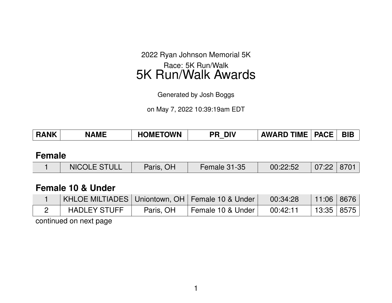2022 Ryan Johnson Memorial 5K

Race: 5K Run/Walk 5K Run/Walk Awards

Generated by Josh Boggs

on May 7, 2022 10:39:19am EDT

| <b>RANK</b> | MF | <b>HOMETOWN</b> | DIV<br>PR | $\mathsf{TIME}$<br><b>AWARD</b> | <b>PACE</b> | <b>BIE</b> |
|-------------|----|-----------------|-----------|---------------------------------|-------------|------------|
|             |    |                 |           |                                 |             |            |

#### **Female**

| NICOLE STULL<br>Paris, OH<br><b>Female 31-35</b> | $07:22$   8701<br>00:22:52 |
|--------------------------------------------------|----------------------------|
|--------------------------------------------------|----------------------------|

### **Female 10 & Under**

| KHLOE MILTIADES   Uniontown, OH   Female 10 & Under |           |                   | 00:34:28 | 11:06   8676 |  |
|-----------------------------------------------------|-----------|-------------------|----------|--------------|--|
| <b>HADLEY STUFF</b>                                 | Paris, OH | Female 10 & Under | 00:42:11 | 13:35   8575 |  |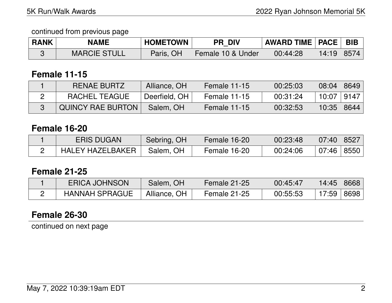| <b>RANK</b> | <b>NAME</b>         | <b>HOMETOWN</b> | <b>PR DIV</b>     | <b>AWARD TIME   PACE   BIB</b> |       |      |
|-------------|---------------------|-----------------|-------------------|--------------------------------|-------|------|
|             | <b>MARCIE STULL</b> | Paris, OH       | Female 10 & Under | 00:44:28                       | 14:19 | 8574 |

### **Female 11-15**

| RENAE BURTZ              | Alliance, OH  | Female 11-15 | 00:25:03 | 08:04 | 8649 |
|--------------------------|---------------|--------------|----------|-------|------|
| RACHEL TEAGUE            | Deerfield, OH | Female 11-15 | 00:31:24 | 10:07 | 9147 |
| <b>QUINCY RAE BURTON</b> | Salem, OH     | Female 11-15 | 00:32:53 | 10:35 | 8644 |

## **Female 16-20**

| <b>ERIS DUGAN</b>       | Sebring, OH | Female 16-20 | 00:23:48 | $07:40$   8527         |  |
|-------------------------|-------------|--------------|----------|------------------------|--|
| <b>HALEY HAZELBAKER</b> | Salem, OH   | Female 16-20 | 00:24:06 | $07:46 \mid 8550 \mid$ |  |

### **Female 21-25**

| <b>ERICA JOHNSON</b>  | Salem, OH    | Female 21-25 | 00:45:47 | 14:45 | 8668 |
|-----------------------|--------------|--------------|----------|-------|------|
| <b>HANNAH SPRAGUE</b> | Alliance, OH | Female 21-25 | 00:55:53 | 17:59 | 8698 |

# **Female 26-30**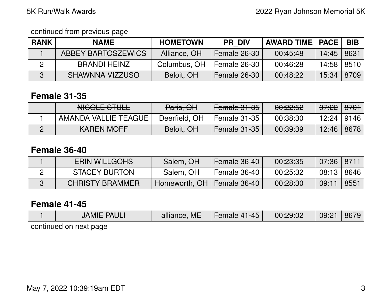continued from previous page

| <b>RANK</b> | <b>NAME</b>        | <b>HOMETOWN</b> | <b>PR DIV</b> | <b>AWARD TIME   PACE  </b> |            | <b>BIB</b> |
|-------------|--------------------|-----------------|---------------|----------------------------|------------|------------|
|             | ABBEY BARTOSZEWICS | Alliance, OH    | Female 26-30  | 00:45:48                   | 14:45      | 8631       |
| 2           | BRANDI HEINZ       | Columbus, OH    | Female 26-30  | 00:46:28                   | 14:58 8510 |            |
| -3          | SHAWNNA VIZZUSO    | Beloit, OH      | Female 26-30  | 00:48:22                   | 15:34      | 8709       |

# **Female 31-35**

| NICOLE CTILL<br>NUVEL JTULE | Paris, OH     | Female 31-35 | <u> AA.AA.EA</u><br><del>uu.zz.uz</del> | <del>07:22</del> | <del>8701</del> ∣ |
|-----------------------------|---------------|--------------|-----------------------------------------|------------------|-------------------|
| AMANDA VALLIE TEAGUE        | Deerfield, OH | Female 31-35 | 00:38:30                                | 12:24            | 9146              |
| <b>KAREN MOFF</b>           | Beloit, OH    | Female 31-35 | 00:39:39                                | 12:46            | 8678              |

## **Female 36-40**

| <b>ERIN WILLGOHS</b>   | Salem, OH                    | Female 36-40 | 00:23:35 | $07:36$   8711 |      |
|------------------------|------------------------------|--------------|----------|----------------|------|
| <b>STACEY BURTON</b>   | Salem, OH                    | Female 36-40 | 00:25:32 | $08:13$   8646 |      |
| <b>CHRISTY BRAMMER</b> | Homeworth, OH   Female 36-40 |              | 00:28:30 | 09:11          | 8551 |

## **Female 41-45**

| <b>JAMIE PAULI</b>     | alliance, ME | Female 41-45 | 00:29:02 | 09:21 | 8679 |
|------------------------|--------------|--------------|----------|-------|------|
| continued on novt none |              |              |          |       |      |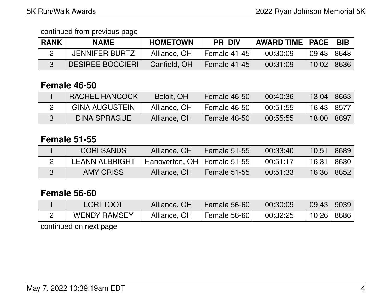| <b>RANK</b> | <b>NAME</b>             | <b>HOMETOWN</b> | <b>PR DIV</b>  | <b>AWARD TIME   PACE  </b> |       | <b>BIB</b> |
|-------------|-------------------------|-----------------|----------------|----------------------------|-------|------------|
|             | <b>JENNIFER BURTZ</b>   | Alliance, OH    | Female 41-45 ° | 00:30:09                   | 09:43 | 8648       |
|             | <b>DESIREE BOCCIERI</b> | Canfield, OH    | Female 41-45   | 00:31:09                   | 10:02 | 8636       |

## **Female 46-50**

| <b>RACHEL HANCOCK</b> | Beloit, OH   | Female 46-50 | 00:40:36 | 13:04   8663 |                  |
|-----------------------|--------------|--------------|----------|--------------|------------------|
| <b>GINA AUGUSTEIN</b> | Alliance, OH | Female 46-50 | 00:51:55 | 16:43   8577 |                  |
| <b>DINA SPRAGUE</b>   | Alliance, OH | Female 46-50 | 00:55:55 | 18:00        | $^{\circ}8697$ ) |

## **Female 51-55**

| <b>CORI SANDS</b>     | Alliance, OH                  | <b>Female 51-55</b> | 00:33:40 | 10:51        | 8689 |
|-----------------------|-------------------------------|---------------------|----------|--------------|------|
| <b>LEANN ALBRIGHT</b> | Hanoverton, OH   Female 51-55 |                     | 00:51:17 | 16:31        | 8630 |
| AMY CRISS             | Alliance, OH                  | Female 51-55        | 00:51:33 | 16:36   8652 |      |

## **Female 56-60**

| <b>LORI TOOT</b>    | Alliance, OH | <b>Female 56-60</b> | 00:30:09 | 09:43   9039 |  |
|---------------------|--------------|---------------------|----------|--------------|--|
| <b>WENDY RAMSEY</b> | Alliance, OH | Female 56-60        | 00:32:25 | 10:26   8686 |  |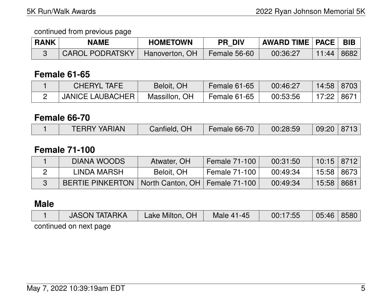| <b>RANK</b> | <b>NAME</b>            | <b>HOMETOWN</b> | <b>PR DIV</b>  | │ AWARD TIME │ PACE │ BIB │ |       |      |
|-------------|------------------------|-----------------|----------------|-----------------------------|-------|------|
|             | <b>CAROL PODRATSKY</b> | Hanoverton, OH  | Female $56-60$ | 00:36:27                    | 11:44 | 8682 |

## **Female 61-65**

| <b>CHERYL TAFE</b>        | Beloit, OH    | Female 61-65 | 00:46:27 | 14:58   8703 |  |
|---------------------------|---------------|--------------|----------|--------------|--|
| <b>JANICE LAUBACHER  </b> | Massillon, OH | Female 61-65 | 00:53:56 | 17:22 8671   |  |

### **Female 66-70**

|  | <b>TERRY YARIAN</b> | OH<br>Canfield | Female 66-70 | 00:28:59 | 09:20 | 8713 |
|--|---------------------|----------------|--------------|----------|-------|------|
|--|---------------------|----------------|--------------|----------|-------|------|

## **Female 71-100**

| <b>DIANA WOODS</b>      | Atwater, OH                      | <b>Female 71-100</b> | 00:31:50 | $10:15$   8712 |      |
|-------------------------|----------------------------------|----------------------|----------|----------------|------|
| LINDA MARSH             | Beloit, OH                       | Female 71-100        | 00:49:34 | 15:58   8673   |      |
| <b>BERTIE PINKERTON</b> | North Canton, OH   Female 71-100 |                      | 00:49:34 | 15:58          | 8681 |

# **Male**

| <b>JASON TATARKA</b>   | Lake Milton, OH | Male 41-45 | 00:17:55 | 05:46 | 8580 |
|------------------------|-----------------|------------|----------|-------|------|
| continued on next page |                 |            |          |       |      |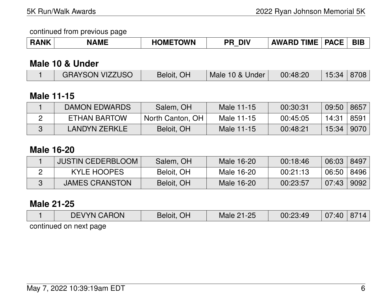| <b>TOWN</b><br><b>TIME</b><br><b>RANK</b><br><b>DIV</b><br>AME<br>DMI.<br>PR<br><b>AWARI</b><br>. О Г<br>าเ | PΔ. | БIЕ |
|-------------------------------------------------------------------------------------------------------------|-----|-----|
|-------------------------------------------------------------------------------------------------------------|-----|-----|

## **Male 10 & Under**

|  | <b>GRAYSON VIZZUSO</b> | Beloit, OH | Male 10 & Under | 00:48:20 | 15:34 8708 |  |
|--|------------------------|------------|-----------------|----------|------------|--|
|--|------------------------|------------|-----------------|----------|------------|--|

# **Male 11-15**

| <b>DAMON EDWARDS</b> | Salem, OH        | Male 11-15 | 00:30:31 | 09:50 | 8657 |
|----------------------|------------------|------------|----------|-------|------|
| ETHAN BARTOW         | North Canton, OH | Male 11-15 | 00:45:05 | 14:31 | 8591 |
| <b>LANDYN ZERKLE</b> | Beloit, OH       | Male 11-15 | 00:48:21 | 15:34 | 9070 |

## **Male 16-20**

| JUSTIN CEDERBLOOM     | Salem, OH  | Male 16-20 | 00:18:46 | 06:03 | 8497             |
|-----------------------|------------|------------|----------|-------|------------------|
| KYLE HOOPES           | Beloit, OH | Male 16-20 | 00:21:13 | 06:50 | $\pm$ 8496 $\pm$ |
| <b>JAMES CRANSTON</b> | Beloit, OH | Male 16-20 | 00:23:57 | 07:43 | 9092             |

## **Male 21-25**

|                        | <b>DEVYN CARON</b> | Beloit, OH | Male 21-25 | 00:23:49 | 07:40 | 8714 |  |  |  |
|------------------------|--------------------|------------|------------|----------|-------|------|--|--|--|
| continued on novt nago |                    |            |            |          |       |      |  |  |  |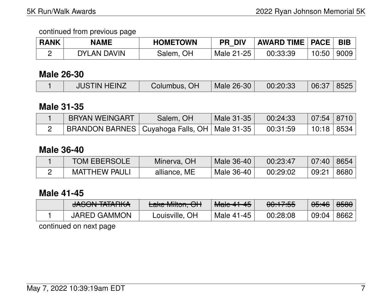| <b>RANK</b> | <b>NAME</b> | <b>HOMETOWN</b> | <b>PR DIV</b> | <b>AWARD TIME   PACE  </b> |       | <b>BIB</b> |
|-------------|-------------|-----------------|---------------|----------------------------|-------|------------|
|             | DYLAN DAVIN | Salem, OH       | Male 21-25    | 00:33:39                   | 10:50 | 9009       |

## **Male 26-30**

|  | <b>JUSTIN HEINZ</b> | Columbus, OH | $\blacksquare$ Male 26-30 $\blacksquare$ | 00:20:33 | 06:37 8525 |  |
|--|---------------------|--------------|------------------------------------------|----------|------------|--|
|--|---------------------|--------------|------------------------------------------|----------|------------|--|

### **Male 31-35**

| <b>BRYAN WEINGART</b>                            | Salem, OH | Male 31-35 | 00:24:33 | 07:54 8710   |  |
|--------------------------------------------------|-----------|------------|----------|--------------|--|
| BRANDON BARNES   Cuyahoga Falls, OH   Male 31-35 |           |            | 00:31:59 | 10:18   8534 |  |

## **Male 36-40**

| <b>TOM EBERSOLE</b>  | Minerva, OH  | Male 36-40 | 00:23:47 | 07:40 | $\parallel$ 8654 |
|----------------------|--------------|------------|----------|-------|------------------|
| <b>MATTHEW PAULI</b> | alliance, ME | Male 36-40 | 00:29:02 | 09:21 | 8680             |

## **Male 41-45**

| $I$ $A$ $C$ $C$ $N$ $I$ $T$ $A$ $T$ $A$ $D$ $I$ $I$ $A$<br><u>UNUUN ININIINT</u> | $l$ also Milton $\bigcap l$<br><b>Lang Millton, OTT</b> | $M$ olo $44$ $45$<br>TVICI <del>C TT TJ</del> | $0.17.EE$<br><del>00.17.JJ</del> | 05:46 | 8580 |
|----------------------------------------------------------------------------------|---------------------------------------------------------|-----------------------------------------------|----------------------------------|-------|------|
| <b>JARED GAMMON</b>                                                              | Louisville, OH                                          | Male 41-45                                    | 00:28:08                         | 09:04 | 8662 |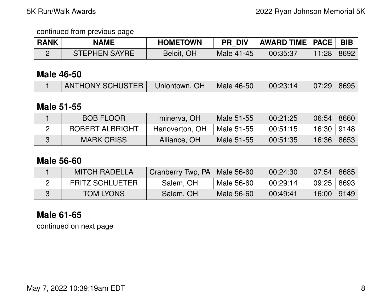| <b>RANK</b> | <b>NAME</b>          | <b>HOMETOWN</b> | <b>PR DIV</b> | <b>AWARD TIME   PACE   BIB</b> |       |      |
|-------------|----------------------|-----------------|---------------|--------------------------------|-------|------|
|             | <b>STEPHEN SAYRE</b> | Beloit, OH      | Male 41-45    | 00:35:37                       | 11:28 | 8692 |

### **Male 46-50**

| ANTHONY SCHUSTER   Uniontown, OH   Male 46-50 |  | 00:23:14 | $\mid$ 07:29   8695 |  |
|-----------------------------------------------|--|----------|---------------------|--|
|                                               |  |          |                     |  |

### **Male 51-55**

| <b>BOB FLOOR</b>       | minerva, OH    | Male 51-55 | 00:21:25 | 06:54        | 8660 |
|------------------------|----------------|------------|----------|--------------|------|
| <b>ROBERT ALBRIGHT</b> | Hanoverton, OH | Male 51-55 | 00:51:15 | 16:30   9148 |      |
| <b>MARK CRISS</b>      | Alliance, OH   | Male 51-55 | 00:51:35 | 16:36        | 8653 |

### **Male 56-60**

| <b>MITCH RADELLA</b>   | Cranberry Twp, PA   Male 56-60 |            | 00:24:30 | 07:54        | 8685 |
|------------------------|--------------------------------|------------|----------|--------------|------|
| <b>FRITZ SCHLUETER</b> | Salem, OH                      | Male 56-60 | 00:29:14 | 09:25   8693 |      |
| <b>TOM LYONS</b>       | Salem, OH                      | Male 56-60 | 00:49:41 | 16:00 9149   |      |

# **Male 61-65**